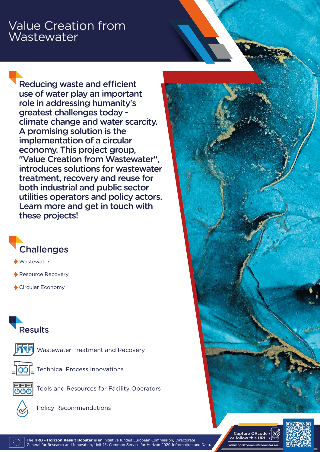## Value Creation from **Wastewater**

Reducing waste and efficient use of water play an important role in addressing humanity's greatest challenges today climate change and water scarcity. A promising solution is the implementation of a circular economy. This project group, "Value Creation from Wastewater", introduces solutions for wastewater treatment, recovery and reuse for both industrial and public sector utilities operators and policy actors. Learn more and get in touch with these projects!



Wastewater

Resource Recovery

Circular Economy

## **Results**



Wastewater Treatment and Recovery



**QQC** Technical Process Innovations



Tools and Resources for Facility Operators



Policy Recommendations

**www.horizonresultsbooster.eu** Capture QRcode or follow this URL